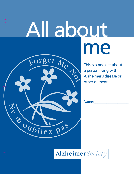# All about meForget Me

Z A Marie Pas

 $\bigodot$ 



Name:

Alzheimer Society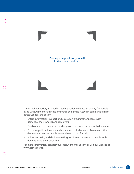



The Alzheimer Society is Canada's leading nationwide health charity for people living with Alzheimer's disease and other dementias. Active in communities right across Canada, the Society

- Offers information, support and education programs for people with dementia, their families and caregivers
- Funds research to find a cure and improve the care of people with dementia
- Promotes public education and awareness of Alzheimer's disease and other dementias to ensure people know where to turn for help
- Influences policy and decision-making to address the needs of people with dementia and their caregivers.

For more information, contact your local Alzheimer Society or visit our website at www.alzheimer.ca.

0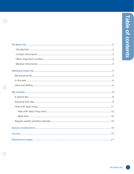| l |
|---|
|   |
|   |
|   |
|   |
|   |
|   |
|   |

 $\equiv$ 

|   | My perso    |
|---|-------------|
|   | In the pa   |
| 0 | Likes and   |
|   | My routine: |
|   | A tynical   |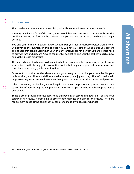#### $\bigcirc$ **Introduction**

This booklet is all about you, a person living with Alzheimer's disease or other dementia.

Although you have a form of dementia, you are still the same person you have always been. This booklet is designed to focus on the positive: what you are good at rather than what is no longer possible.

You and your primary caregiver\* know what makes you feel comfortable better than anyone. By answering the questions in this booklet, you will have a record of what makes you content and at ease that can be used when your primary caregiver cannot be with you and others need to provide care and support. Anyone can use this booklet to give you the best day possible now and as the disease progresses.

The first section of this booklet is designed to help someone new to supporting you get to know you better. It will also suggest conversation topics that may make you feel more at ease and contribute to more enjoyable times together.

Other sections of this booklet allow you and your caregiver to outline your usual habits: your daily routines, your likes and dislikes and what makes you enjoy each day. This information will help new caregivers maintain the routines that give you a sense of security, comfort and pleasure.

When completing this booklet, always keep in mind the main purpose: to give as clear a picture as possible of you to help others provide care when the person who usually supports you is unavailable.

To help others provide effective care, keep this book in an easy-to-find location. You and your caregivers can review it from time to time to note changes and plan for the future. There are replacement pages at the back that you can use to make any updates or changes.

\*The term "caregiver" is used throughout this booklet to mean anyone who supports you.

O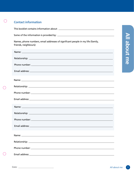#### **Contact information**

 $\bigodot$ 

 $\bigcirc$ 

 $\bigodot$ 

This booklet contains information about:

Some of the information is provided by:

Names, phone numbers, email addresses of significant people in my life (family, friends, neighbours):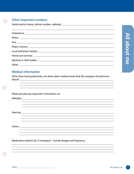### 合

#### **Other important numbers**

Family doctor (name, phone number, address):

#### **Medical information**

Other than having dementia, are there other medical issues that the caregiver should know about?

and the control of the control of the control of the control of the control of the control of the control of the

<u> 1989 - Johann Stoff, amerikansk politiker (\* 1908)</u>

,我们也不会有什么。""我们的人,我们也不会有什么?""我们的人,我们也不会有什么?""我们的人,我们也不会有什么?""我们的人,我们也不会有什么?""我们的人

0

Please provide any important information on:

Allergies:

Hearing:

Vision:

Medications (attach list, if necessary) – include dosage and frequency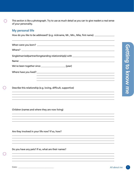$\bigcirc$ This section is like a photograph. Try to use as much detail as you can to give readers a real sense of your personality.

#### **My personal life**

How do you like to be addressed? (e.g. nickname, Mr., Mrs., Miss, first name)

| When were you born?                                                              |  |  |  |  |
|----------------------------------------------------------------------------------|--|--|--|--|
|                                                                                  |  |  |  |  |
| Single/married/partner/longstanding relationship(s) with _______________________ |  |  |  |  |
|                                                                                  |  |  |  |  |
|                                                                                  |  |  |  |  |
| Where have you lived?                                                            |  |  |  |  |
| ,我们也不会有什么。""我们的人,我们也不会有什么?""我们的人,我们也不会有什么?""我们的人,我们也不会有什么?""我们的人,我们也不会有什么?""我们的人 |  |  |  |  |
| Describe this relationship (e.g. loving, difficult, supportive)                  |  |  |  |  |
| ,我们也不会有什么?""我们的人,我们也不会有什么?""我们的人,我们也不会有什么?""我们的人,我们也不会有什么?""我们的人,我们也不会有什么?""我们的人 |  |  |  |  |

Children (names and where they are now living)

Are they involved in your life now? If so, how?

Do you have any pets? If so, what are their names?

0

í.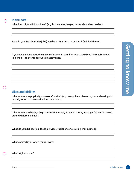#### **In the past**

What kind of jobs did you have? (e.g. homemaker, lawyer, nurse, electrician, teacher)

How do you feel about the job(s) you have done? (e.g. proud, satisfied, indifferent)

If you were asked about the major milestones in your life, what would you likely talk about? (e.g. major life events, favourite places visited)

#### **Likes and dislikes**

What makes you physically more comfortable? (e.g. always have glasses on, have a hearing aid in, daily lotion to prevent dry skin, toe spacers)

What makes you happy? (e.g. conversation topics, activities, sports, music performances, being around children/animals)

What do you dislike? (e.g. foods, activities, topics of conversation, music, smells)

<u> 1980 - Johann Barbara, martxa a</u>

What comforts you when you're upset?

What frightens you?

60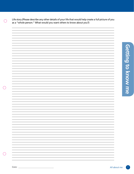Life story (Please describe any other details of your life that would help create a full picture of you as a "whole person." What would you want others to know about you?)

 $\bigodot$ 

 $\bigodot$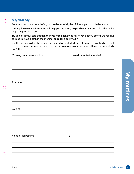**A typical day**

Routine is important for all of us, but can be especially helpful for a person with dementia.

Writing down your daily routine will help you see how you spend your time and help others who might be providing care.

Try to look at your care through the eyes of someone who has never met you before. Do you like to sleep in, have a bath in the evening, or go for a daily walk?

Use this section to describe regular daytime activities. Include activities you are involved in as well as your caregiver. Include anything that provides pleasure, comfort, or something you particularly don't like.

Morning (usual wake up time \_\_\_\_\_\_\_\_\_\_\_\_\_\_\_\_\_\_\_\_\_\_ ). How do you start your day?

#### Afternoon

#### Evening

Night (usual bedtime )

**My routines My routines**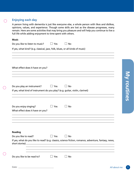#### **Enjoying each day**

A person living with dementia is just like everyone else, a whole person with likes and dislikes, opinions, values, and experience. Though some skills are lost as the disease progresses, many remain. Here are some activities that may bring you pleasure and will help you continue to live a full life while adding enjoyment to time spent with others.

#### **Music**

 $\bigodot$ 

 $\bigodot$ 

 $\bigodot$ 

| Do you like to listen to music? | $\Box$ Yes | $\Box$ No |
|---------------------------------|------------|-----------|
|---------------------------------|------------|-----------|

If yes, what kind? (e.g. classical, jazz, folk, blues, or all kinds of music)

| What effect does it have on you?                                                                                                                                                                                        |
|-------------------------------------------------------------------------------------------------------------------------------------------------------------------------------------------------------------------------|
| ,我们也不会有一个人的人,我们也不会有一个人的人,我们也不会有一个人的人,我们也不会有一个人的人。""我们的人,我们也不会有一个人的人,我们也不会有一个人的人,                                                                                                                                        |
| $\Box$ Yes<br>Do you play an instrument?<br>$\Box$ No<br>If yes, what kind of instrument do you play? (e.g. guitar, violin, clarinet)                                                                                   |
| Do you enjoy singing?<br>$\Box$ Yes<br>No<br>What effect does it have on you?<br><u> 1989 - Johann Stoff, amerikansk politiker (d. 1989)</u>                                                                            |
| ,我们也不会有什么。""我们的人,我们也不会有什么?""我们的人,我们也不会有什么?""我们的人,我们的人,我们的人,我们的人,我们的人,我们的人,我们的人,我                                                                                                                                        |
| Reading                                                                                                                                                                                                                 |
| $\Box$ Yes<br>Do you like to read?<br>$\Box$ No<br>If yes, what do you like to read? (e.g. classics, science fiction, romance, adventure, fantasy, news,<br><u> 1989 - Johann Stoff, amerikansk politiker (d. 1989)</u> |
| <u> 1989 - Johann Stoff, amerikansk politiker (* 1908)</u><br>Do you like to be read to?<br>$\Box$ Yes<br>$\Box$ No                                                                                                     |
| Date:<br>All about me                                                                                                                                                                                                   |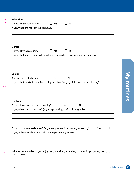| Do you like watching TV?                                                                | Yes                 | <b>No</b>               |     |
|-----------------------------------------------------------------------------------------|---------------------|-------------------------|-----|
| If yes, what are your favourite shows?                                                  |                     |                         |     |
|                                                                                         |                     |                         |     |
|                                                                                         |                     |                         |     |
|                                                                                         |                     |                         |     |
| <b>Games</b>                                                                            |                     |                         |     |
| Do you like to play games?                                                              | Yes<br>$\mathbf{1}$ | $\Box$ No               |     |
| If yes, what kind of games do you like? (e.g. cards, crosswords, puzzles, Sudoku)       |                     |                         |     |
|                                                                                         |                     |                         |     |
|                                                                                         |                     |                         |     |
|                                                                                         |                     |                         |     |
| <b>Sports</b>                                                                           |                     |                         |     |
| Are you interested in sports?                                                           | Yes                 | No                      |     |
| If yes, what sports do you like to play or follow? (e.g. golf, hockey, tennis, skating) |                     |                         |     |
|                                                                                         |                     |                         |     |
|                                                                                         |                     |                         |     |
|                                                                                         |                     |                         |     |
| <b>Hobbies</b>                                                                          |                     |                         |     |
| Do you have hobbies that you enjoy?                                                     |                     | <b>No</b><br>$\Box$ Yes |     |
|                                                                                         |                     |                         |     |
|                                                                                         |                     |                         |     |
|                                                                                         |                     |                         |     |
|                                                                                         |                     |                         |     |
| If yes, what kind of hobbies? (e.g. scrapbooking, crafts, photography)                  |                     |                         |     |
|                                                                                         |                     |                         |     |
|                                                                                         |                     |                         | Yes |
| If yes, is there any household chore you particularly enjoy?                            |                     |                         | No  |
|                                                                                         |                     |                         |     |
| Do you do household chores? (e.g. meal preparation, dusting, sweeping)                  |                     |                         |     |
|                                                                                         |                     |                         |     |

 $\odot$ 

 $\overline{\mathbb{Q}}$ 

 $\bigcirc$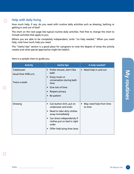#### **Help with daily living**

 $\bigcirc$ 

O

How much help, if any, do you need with routine daily activities such as dressing, bathing or getting in and out of bed?

The chart on the next page lists typical routine daily activities. Feel free to change the chart to include activities that apply to you.

Where you are able to be completely independent, write "no help needed." When you need help, note how much help you need.

The "Useful tips" section is a good place for caregivers to note the degree of stress the activity creates and what special approaches might be helpful.

Here is a sample chart to guide you.

| <b>Activity</b>                                     | <b>Useful tips</b>                                                                                                                                                                                                                   | Is help needed?                                 |              |                    |
|-----------------------------------------------------|--------------------------------------------------------------------------------------------------------------------------------------------------------------------------------------------------------------------------------------|-------------------------------------------------|--------------|--------------------|
| Tub/shower<br>Usual time: 8:00 a.m.<br>Twice a week | Prefer shower, don't like<br>$\bullet$<br>bath<br>Enjoy music or<br>$\bullet$<br>conversation during bath<br>time<br>Give lots of time<br>$\bullet$<br>Respect privacy<br>$\bullet$<br>Be patient<br>$\bullet$                       | • Need help in and out                          |              | <b>My routines</b> |
| <b>Dressing</b>                                     | Can button shirt, put on<br>$\bullet$<br>underwear and socks<br>Need to take dirty clothes<br>$\bullet$<br>away immediately<br>• Can dress independently if<br>clothes put on bed in right<br>order<br>• Offer help tying shoe laces | May need help from time<br>$\bullet$<br>to time |              |                    |
| Date:                                               |                                                                                                                                                                                                                                      |                                                 | All about me | 11                 |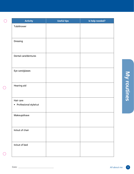| <b>Activity</b>          | Useful tips | Is help needed? |
|--------------------------|-------------|-----------------|
| Tub/shower               |             |                 |
|                          |             |                 |
|                          |             |                 |
| Dressing                 |             |                 |
|                          |             |                 |
| Dental care/dentures     |             |                 |
|                          |             |                 |
|                          |             |                 |
| Eye care/glasses         |             |                 |
|                          |             |                 |
| Hearing aid              |             |                 |
|                          |             |                 |
|                          |             |                 |
| Hair care                |             |                 |
| • Professional style/cut |             |                 |
| Makeup/shave             |             |                 |
|                          |             |                 |
|                          |             |                 |
| In/out of chair          |             |                 |
|                          |             |                 |
|                          |             |                 |
| In/out of bed            |             |                 |
|                          |             |                 |

 $\langle \bigcirc \rangle$ 

 $\bigcirc$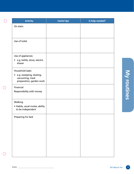| <b>Activity</b>                                                                           | <b>Useful tips</b> | Is help needed? |  |
|-------------------------------------------------------------------------------------------|--------------------|-----------------|--|
| On stairs                                                                                 |                    |                 |  |
| Use of toilet                                                                             |                    |                 |  |
| Use of appliances<br>· e.g. kettle, stove, electric<br>shaver                             |                    |                 |  |
| Household tasks<br>e.g. sweeping, dusting,<br>vacuuming, meal<br>preparation, garden work |                    |                 |  |
| Financial<br>Responsibility with money                                                    |                    |                 |  |
| Walking<br>• Habits, usual routes, ability<br>to be independent                           |                    |                 |  |
| Preparing for bed                                                                         |                    |                 |  |
|                                                                                           |                    |                 |  |
|                                                                                           |                    |                 |  |
|                                                                                           |                    |                 |  |

 $\bigcirc$ 

 $\bigodot$ 

 $\circledcirc$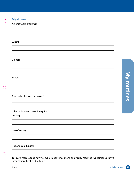

#### **Meal time**

An enjoyable breakfast:

Lunch:

Dinner:

Snacks:

Any particular likes or dislikes?

What assistance, if any, is required? Cutting:

Use of cutlery:

Hot and cold liquids:

O

To learn more about how to make meal times more enjoyable, read the Alzheimer Society's Information sheet on the topic.

,我们也不会有什么。""我们的人,我们也不会有什么?""我们的人,我们也不会有什么?""我们的人,我们的人,我们的人,我们的人,我们的人,我们的人,我们的人,我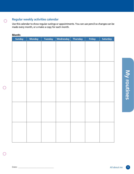#### **Regular weekly activities calendar**

Use this calendar to show regular outings or appointments. You can use pencil so changes can be made every month, or a make a copy for each month.

#### **Month:**

 $\bigodot$ 

 $\bigodot$ 

| <b>Sunday</b> | <b>Monday</b> | <b>Tuesday</b> | Wednesday | <b>Thursday</b> | Friday | Saturday     |
|---------------|---------------|----------------|-----------|-----------------|--------|--------------|
|               |               |                |           |                 |        |              |
|               |               |                |           |                 |        |              |
|               |               |                |           |                 |        |              |
|               |               |                |           |                 |        |              |
|               |               |                |           |                 |        |              |
|               |               |                |           |                 |        |              |
|               |               |                |           |                 |        |              |
|               |               |                |           |                 |        |              |
|               |               |                |           |                 |        |              |
|               |               |                |           |                 |        |              |
|               |               |                |           |                 |        |              |
|               |               |                |           |                 |        |              |
|               |               |                |           |                 |        |              |
|               |               |                |           |                 |        |              |
|               |               |                |           |                 |        |              |
|               |               |                |           |                 |        |              |
|               |               |                |           |                 |        |              |
|               |               |                |           |                 |        |              |
|               |               |                |           |                 |        |              |
|               |               |                |           |                 |        |              |
|               |               |                |           |                 |        |              |
|               |               |                |           |                 |        |              |
|               |               |                |           |                 |        |              |
|               |               |                |           |                 |        | All about me |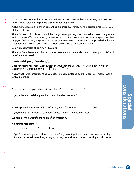Note: The questions in this section are designed to be answered by your primary caregiver. Your input will be valuable to give the best information possible.

Alzheimer's disease and other dementias progress over time. As the disease progresses, your abilities will change.

The information in this section will help anyone supporting you know what these changes are and how they affect your mood, behaviour and abilities. Your caregiver can suggest ways that help you feel content, engaged, and secure. For example – Is there a special approach that helps? Does your behaviour change only at certain times? Are there warning signs?

Below are examples of common situations.

The term "family member" is used to mean anyone with dementia whom you support. "He" and "she" are alternated.

#### **Unsafe walking (e.g. "wandering")**

Ō

| Does your family member walk outside in ways that are unsafe? (e.g. will go out in winter |            |           |  |
|-------------------------------------------------------------------------------------------|------------|-----------|--|
| wearing only a dressing gown)                                                             | $\Box$ Yes | $\Box$ No |  |

If yes, what safety precautions do you use? (e.g. camouflaged doors, ID bracelet, regular walks with a neighbour)

| Does she become upset when returned home?                                           |     |    | Yes | <b>No</b>                                                                   |    |
|-------------------------------------------------------------------------------------|-----|----|-----|-----------------------------------------------------------------------------|----|
| If yes, is there a special approach to use to help her feel calm?                   |     |    |     |                                                                             |    |
| Is he registered with the MedicAlert <sup>®</sup> Safely Home <sup>®</sup> program? |     |    |     | <b>Yes</b>                                                                  | No |
|                                                                                     |     |    |     | If yes, what is the number of your local police station if he becomes lost? |    |
|                                                                                     |     |    |     | What is his MedicAlert <sup>®</sup> Safely Home® ID bracelet #?             |    |
| <b>Night time restlessness</b>                                                      |     |    |     |                                                                             |    |
| Does this occur?                                                                    | Yes | No |     |                                                                             |    |

 $\bigcirc$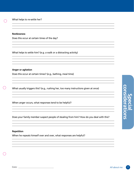#### **Restlessness**

Does this occur at certain times of the day?

What helps to settle him? (e.g. a walk or a distracting activity)

#### **Anger or agitation**

Does this occur at certain times? (e.g., bathing, meal time)

0

0

What usually triggers this? (e.g., rushing her, too many instructions given at once)

When anger occurs, what responses tend to be helpful?

Does your family member suspect people of stealing from him? How do you deal with this?

#### **Repetition**

When he repeats himself over and over, what responses are helpful?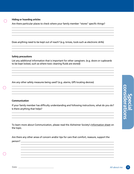#### **Hiding or hoarding articles**

Are there particular places to check where your family member "stores" specific things?

Does anything need to be kept out of reach? (e.g. knives, tools such as electronic drills)

#### **Safety precautions**

List any additional information that is important for other caregivers. (e.g. doors or cupboards to be kept locked, such as where toxic cleaning fluids are stored)

Are any other safety measures being used? (e.g. alarms, GPS locating devices)

#### **Communication**

If your family member has difficulty understanding and following instructions, what do you do? Is there anything that helps?

To learn more about Communication, please read the Alzheimer Society's Information sheet on the topic.

Are there any other areas of concern and/or tips for care that comfort, reassure, support the person?

**Special considerations**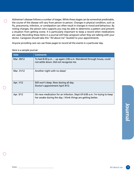Alzheimer's disease follows a number of stages. While these stages can be somewhat predictable, the course of the disease will vary from person to person. Changes in physical condition, such as flu, pneumonia, infection, or constipation can often result in changes in mood and behaviour. By noting changes, the person who supports you may be able to determine a pattern and prevent a situation from getting worse. It is particularly important to keep a record when medications are used. Recording these items in a journal will help caregivers when they are talking with your doctor. Caregivers should take this "All about me" booklet to your appointments.

Anyone providing care can use these pages to record all the events in a particular day.

| <b>Date</b> | <b>Comments</b>                                                                                                                             |
|-------------|---------------------------------------------------------------------------------------------------------------------------------------------|
| Mar. 30/12  | To bed 8:30 p.m. -- up again 2:00 a.m. Wandered through house, could<br>not settle down. Did not recognize me.                              |
| Mar. 31/12  | Another night with no sleep!                                                                                                                |
| Apr. 1/12   | Still won't sleep. Now dozing all day.<br>Doctor's appointment April 4/12.                                                                  |
| Apr. 5/12   | On new medication for an infection. Slept till 6:00 a.m. I'm trying to keep<br>her awake during the day. I think things are getting better. |

Here is a sample journal.

 $\bigcirc$ 

O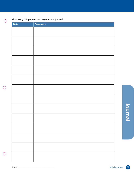#### Photocopy this page to create your own journal.

 $\odot$ 

 $\bigodot$ 

| <b>Date</b> | <b>Comments</b> |
|-------------|-----------------|
|             |                 |
|             |                 |
|             |                 |
|             |                 |
|             |                 |
|             |                 |
|             |                 |
|             |                 |
|             |                 |
|             |                 |
|             |                 |
|             |                 |
|             |                 |
|             |                 |
|             |                 |
|             |                 |
|             |                 |
|             |                 |
|             |                 |
|             |                 |
|             |                 |
|             |                 |
|             |                 |
|             |                 |
|             |                 |
|             |                 |
|             |                 |
|             |                 |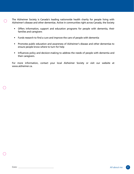The Alzheimer Society is Canada's leading nationwide health charity for people living with Alzheimer's disease and other dementias. Active in communities right across Canada, the Society

- Offers information, support and education programs for people with dementia, their families and caregivers
- Funds research to find a cure and improve the care of people with dementia
- Promotes public education and awareness of Alzheimer's disease and other dementias to ensure people know where to turn for help
- Influences policy and decision-making to address the needs of people with dementia and their caregivers.

For more information, contact your local Alzheimer Society or visit our website at www.alzheimer.ca.

0

 $\bigcirc$